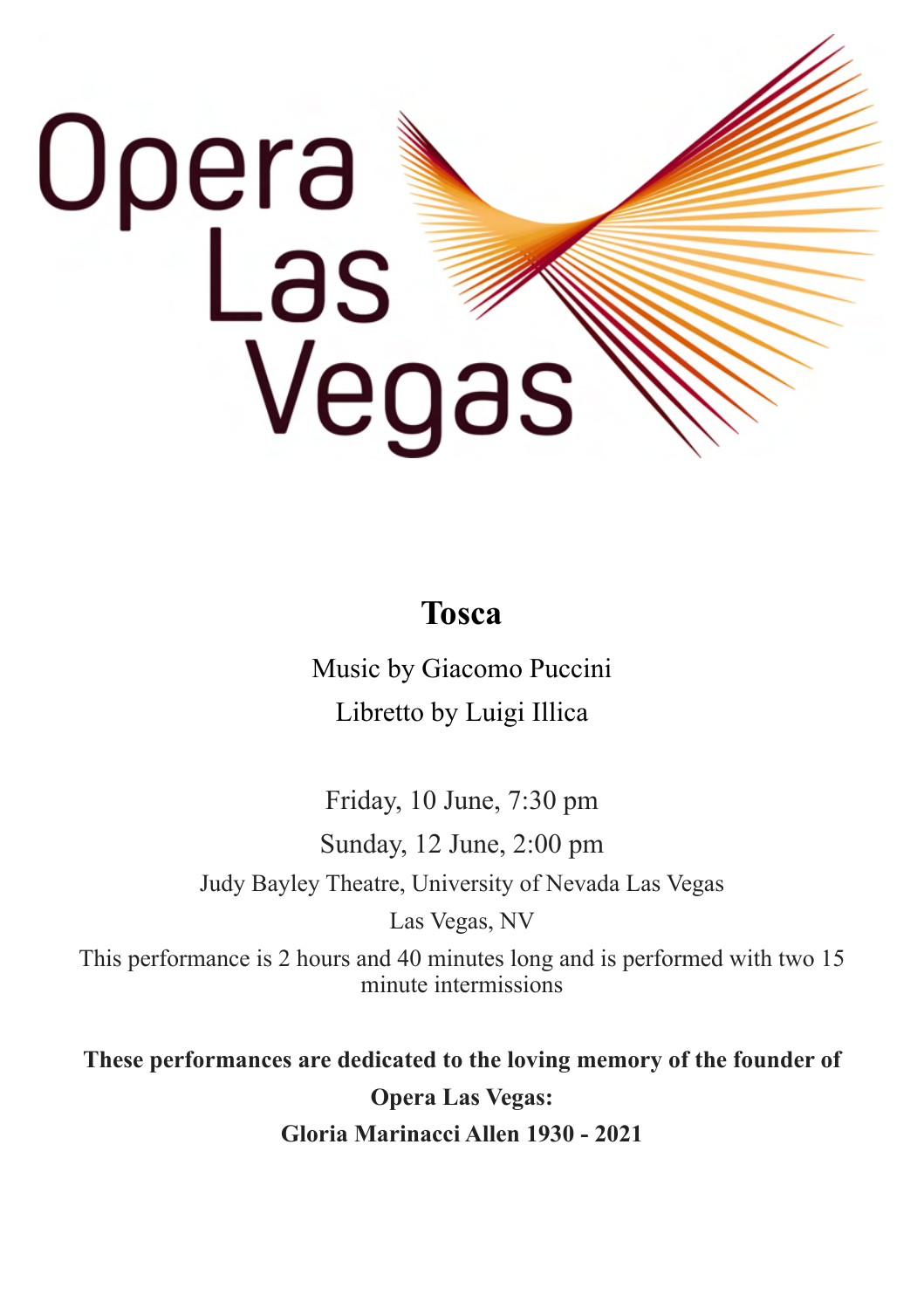# Opera<br>Las Vegas

### **Tosca**

Music by Giacomo Puccini Libretto by Luigi Illica

Friday, 10 June, 7:30 pm Sunday, 12 June, 2:00 pm Judy Bayley Theatre, University of Nevada Las Vegas Las Vegas, NV

This performance is 2 hours and 40 minutes long and is performed with two 15 minute intermissions

**These performances are dedicated to the loving memory of the founder of Opera Las Vegas: Gloria Marinacci Allen 1930 - 2021**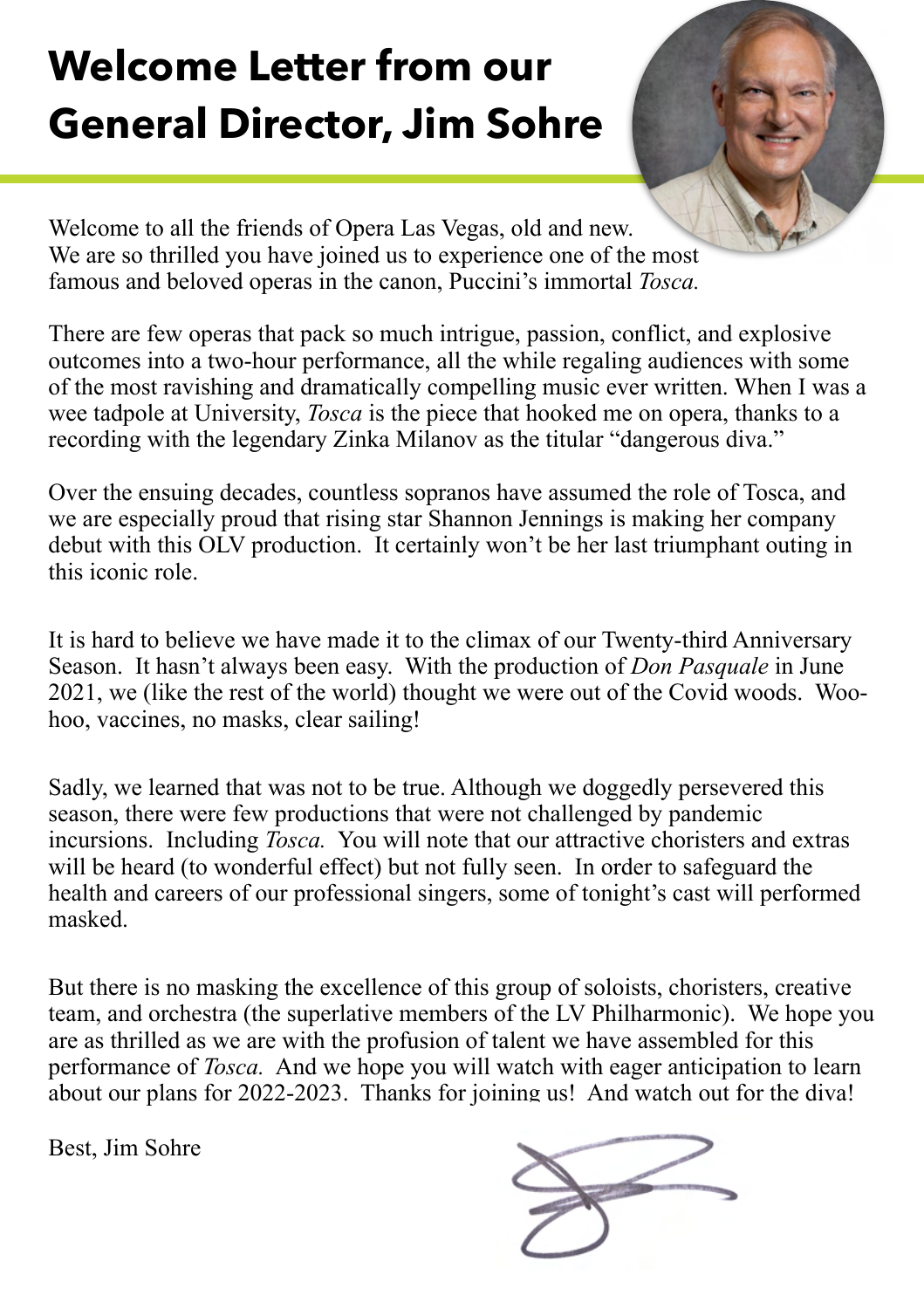# **Welcome Letter from our General Director, Jim Sohre**



Welcome to all the friends of Opera Las Vegas, old and new. We are so thrilled you have joined us to experience one of the most famous and beloved operas in the canon, Puccini's immortal *Tosca.*

There are few operas that pack so much intrigue, passion, conflict, and explosive outcomes into a two-hour performance, all the while regaling audiences with some of the most ravishing and dramatically compelling music ever written. When I was a wee tadpole at University, *Tosca* is the piece that hooked me on opera, thanks to a recording with the legendary Zinka Milanov as the titular "dangerous diva."

Over the ensuing decades, countless sopranos have assumed the role of Tosca, and we are especially proud that rising star Shannon Jennings is making her company debut with this OLV production. It certainly won't be her last triumphant outing in this iconic role.

It is hard to believe we have made it to the climax of our Twenty-third Anniversary Season. It hasn't always been easy. With the production of *Don Pasquale* in June 2021, we (like the rest of the world) thought we were out of the Covid woods. Woohoo, vaccines, no masks, clear sailing!

Sadly, we learned that was not to be true. Although we doggedly persevered this season, there were few productions that were not challenged by pandemic incursions. Including *Tosca.* You will note that our attractive choristers and extras will be heard (to wonderful effect) but not fully seen. In order to safeguard the health and careers of our professional singers, some of tonight's cast will performed masked.

But there is no masking the excellence of this group of soloists, choristers, creative team, and orchestra (the superlative members of the LV Philharmonic). We hope you are as thrilled as we are with the profusion of talent we have assembled for this performance of *Tosca.* And we hope you will watch with eager anticipation to learn about our plans for 2022-2023. Thanks for joining us! And watch out for the diva!

Best, Jim Sohre

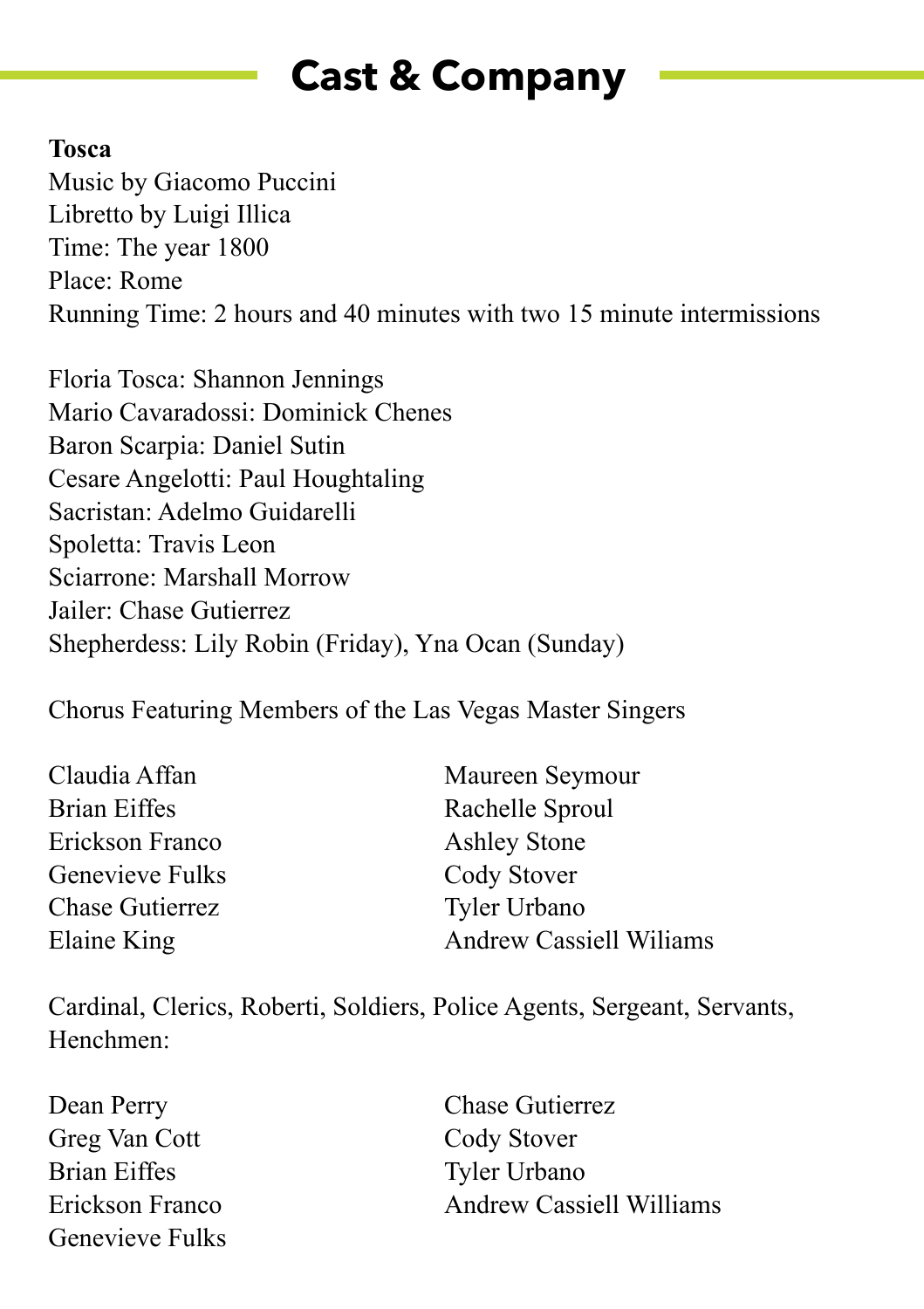# **Cast & Company**

### **Tosca**

Music by Giacomo Puccini Libretto by Luigi Illica Time: The year 1800 Place: Rome Running Time: 2 hours and 40 minutes with two 15 minute intermissions

Floria Tosca: Shannon Jennings Mario Cavaradossi: Dominick Chenes Baron Scarpia: Daniel Sutin Cesare Angelotti: Paul Houghtaling Sacristan: Adelmo Guidarelli Spoletta: Travis Leon Sciarrone: Marshall Morrow Jailer: Chase Gutierrez Shepherdess: Lily Robin (Friday), Yna Ocan (Sunday)

Chorus Featuring Members of the Las Vegas Master Singers

| Claudia Affan   | Maureen Seymour                 |
|-----------------|---------------------------------|
| Brian Eiffes    | Rachelle Sproul                 |
| Erickson Franco | <b>Ashley Stone</b>             |
| Genevieve Fulks | Cody Stover                     |
| Chase Gutierrez | Tyler Urbano                    |
| Elaine King     | <b>Andrew Cassiell Williams</b> |

Cardinal, Clerics, Roberti, Soldiers, Police Agents, Sergeant, Servants, Henchmen:

| Dean Perry      | <b>Chase Gutierrez</b>          |
|-----------------|---------------------------------|
| Greg Van Cott   | Cody Stover                     |
| Brian Eiffes    | Tyler Urbano                    |
| Erickson Franco | <b>Andrew Cassiell Williams</b> |
| Genevieve Fulks |                                 |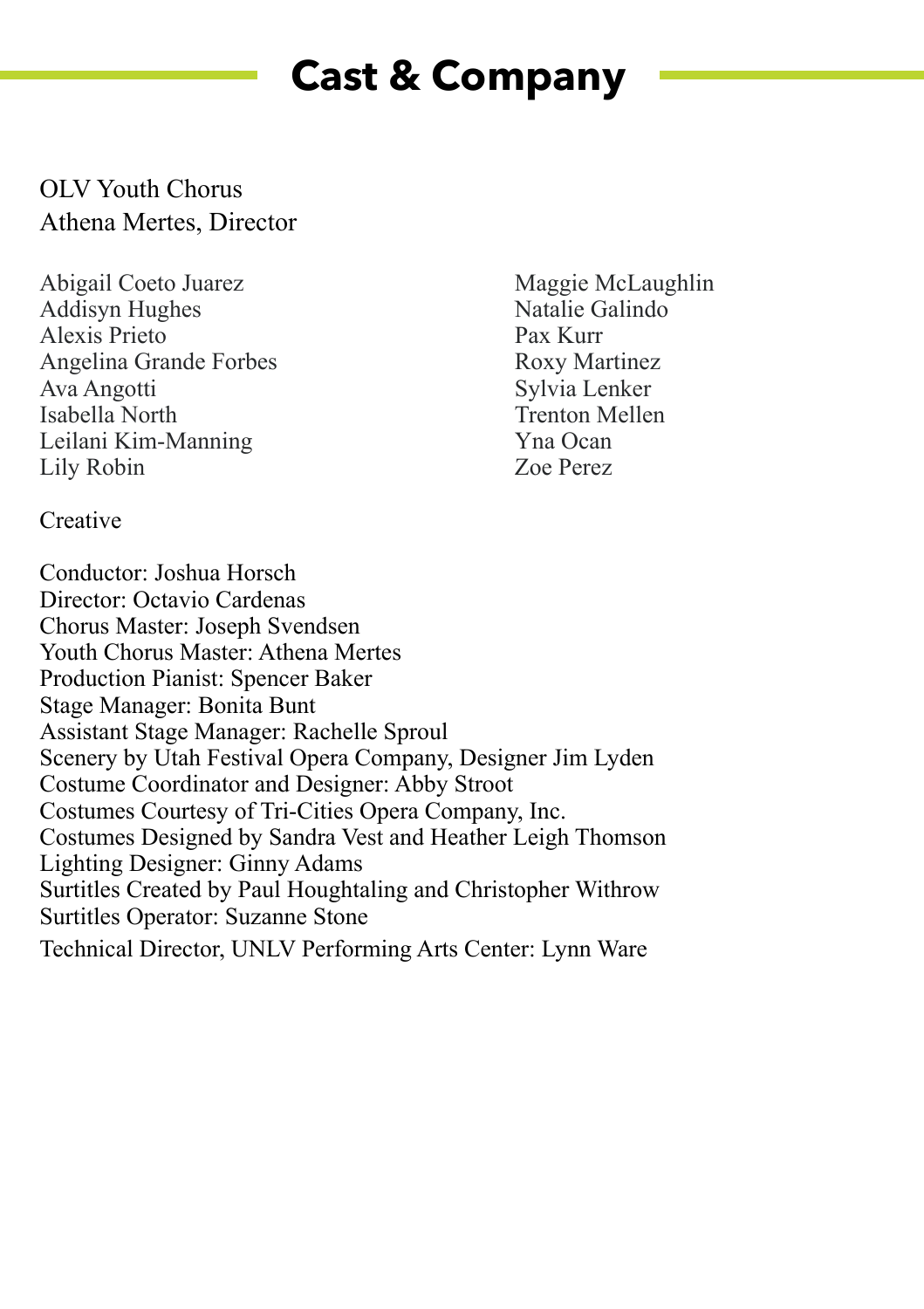# **Cast & Company**

### OLV Youth Chorus Athena Mertes, Director

Abigail Coeto Juarez Maggie McLaughlin Addisyn Hughes Natalie Galindo Alexis Prieto Pax Kurr Angelina Grande Forbes<br>Ava Angotti Roxy Martinez<br>Sylvia Lenker Isabella North Leilani Kim-Manning Yna Ocan Lily Robin Zoe Perez

Sylvia Lenker<br>Trenton Mellen

**Creative** 

Conductor: Joshua Horsch Director: Octavio Cardenas Chorus Master: Joseph Svendsen Youth Chorus Master: Athena Mertes Production Pianist: Spencer Baker Stage Manager: Bonita Bunt Assistant Stage Manager: Rachelle Sproul Scenery by Utah Festival Opera Company, Designer Jim Lyden Costume Coordinator and Designer: Abby Stroot Costumes Courtesy of Tri-Cities Opera Company, Inc. Costumes Designed by Sandra Vest and Heather Leigh Thomson Lighting Designer: Ginny Adams Surtitles Created by Paul Houghtaling and Christopher Withrow Surtitles Operator: Suzanne Stone Technical Director, UNLV Performing Arts Center: Lynn Ware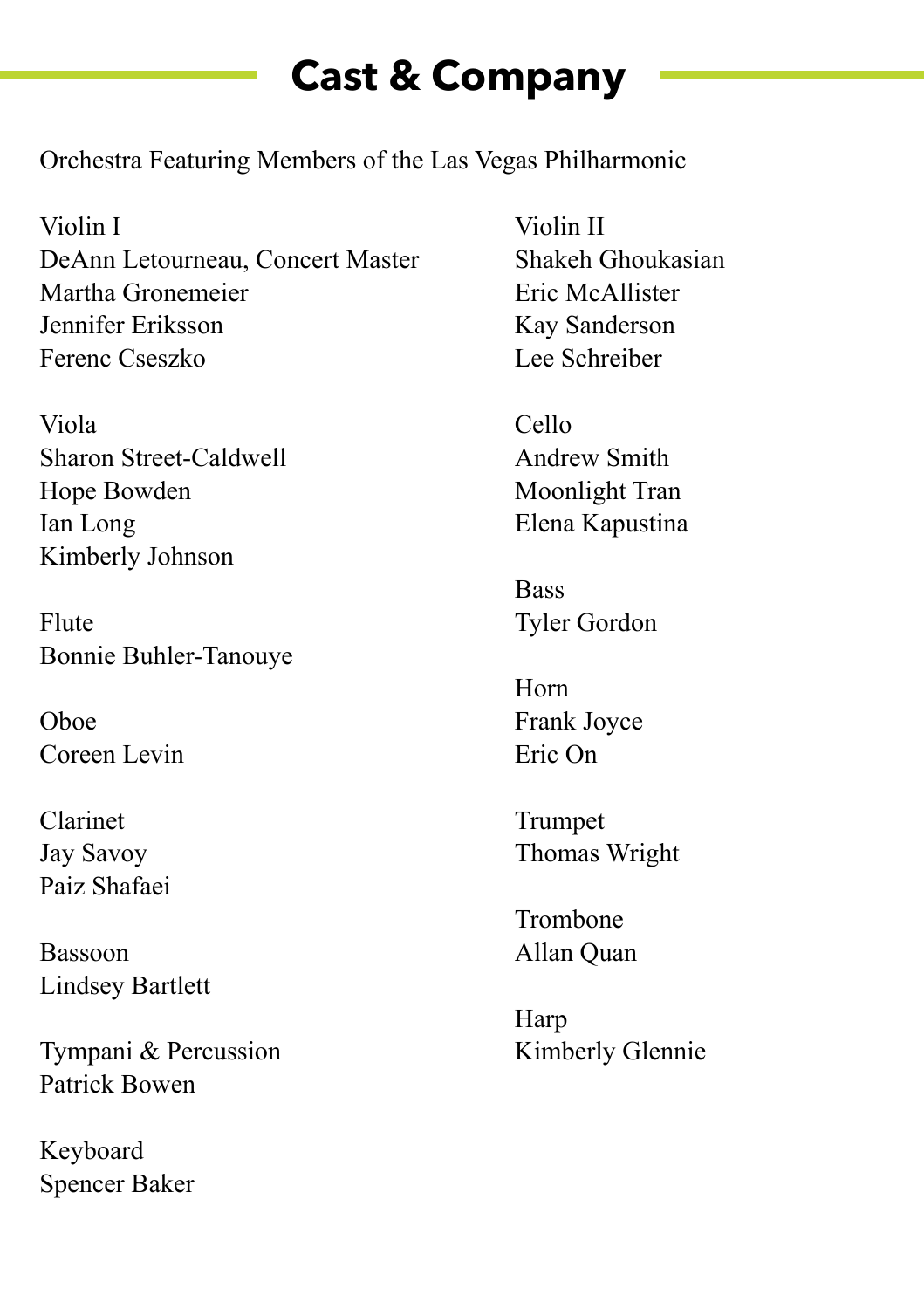# **Cast & Company**

Orchestra Featuring Members of the Las Vegas Philharmonic

Violin I Violin II DeAnn Letourneau, Concert Master Shakeh Ghoukasian Martha Gronemeier **Eric McAllister** Jennifer Eriksson Kay Sanderson Ferenc Cseszko Lee Schreiber

Viola Cello Sharon Street-Caldwell **Andrew Smith** Hope Bowden Moonlight Tran Ian Long Elena Kapustina Kimberly Johnson

Flute Tyler Gordon Bonnie Buhler-Tanouye

Oboe Frank Joyce Coreen Levin Eric On

Clarinet Trumpet Paiz Shafaei

Bassoon Allan Quan Lindsey Bartlett

Tympani & Percussion Kimberly Glennie Patrick Bowen

Keyboard Spencer Baker

**Bass** 

Horn

Jay Savoy Thomas Wright

Trombone

Harp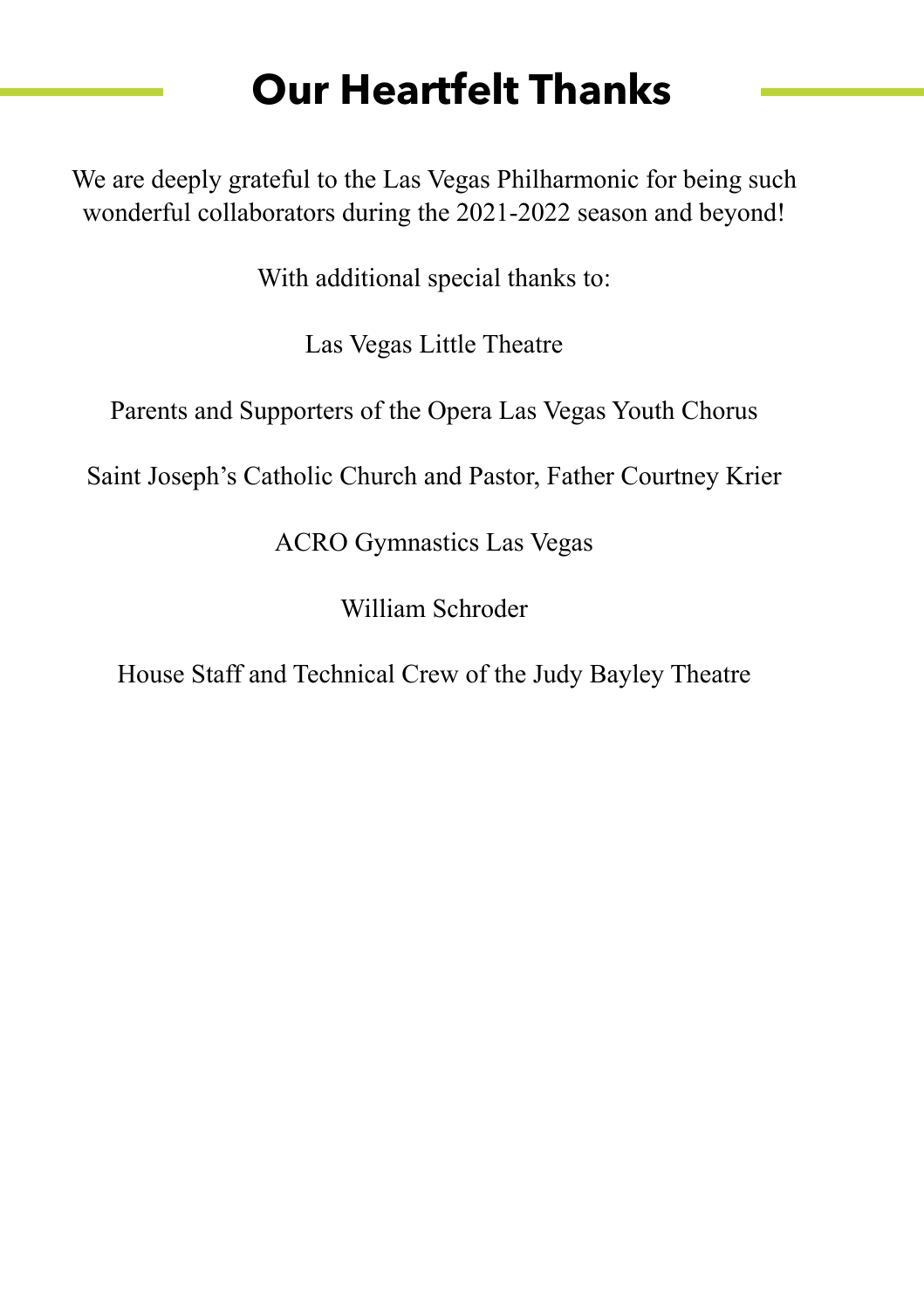# **Our Heartfelt Thanks**

We are deeply grateful to the Las Vegas Philharmonic for being such wonderful collaborators during the 2021-2022 season and beyond!

With additional special thanks to:

Las Vegas Little Theatre

Parents and Supporters of the Opera Las Vegas Youth Chorus

Saint Joseph's Catholic Church and Pastor, Father Courtney Krier

ACRO Gymnastics Las Vegas

William Schroder

House Staff and Technical Crew of the Judy Bayley Theatre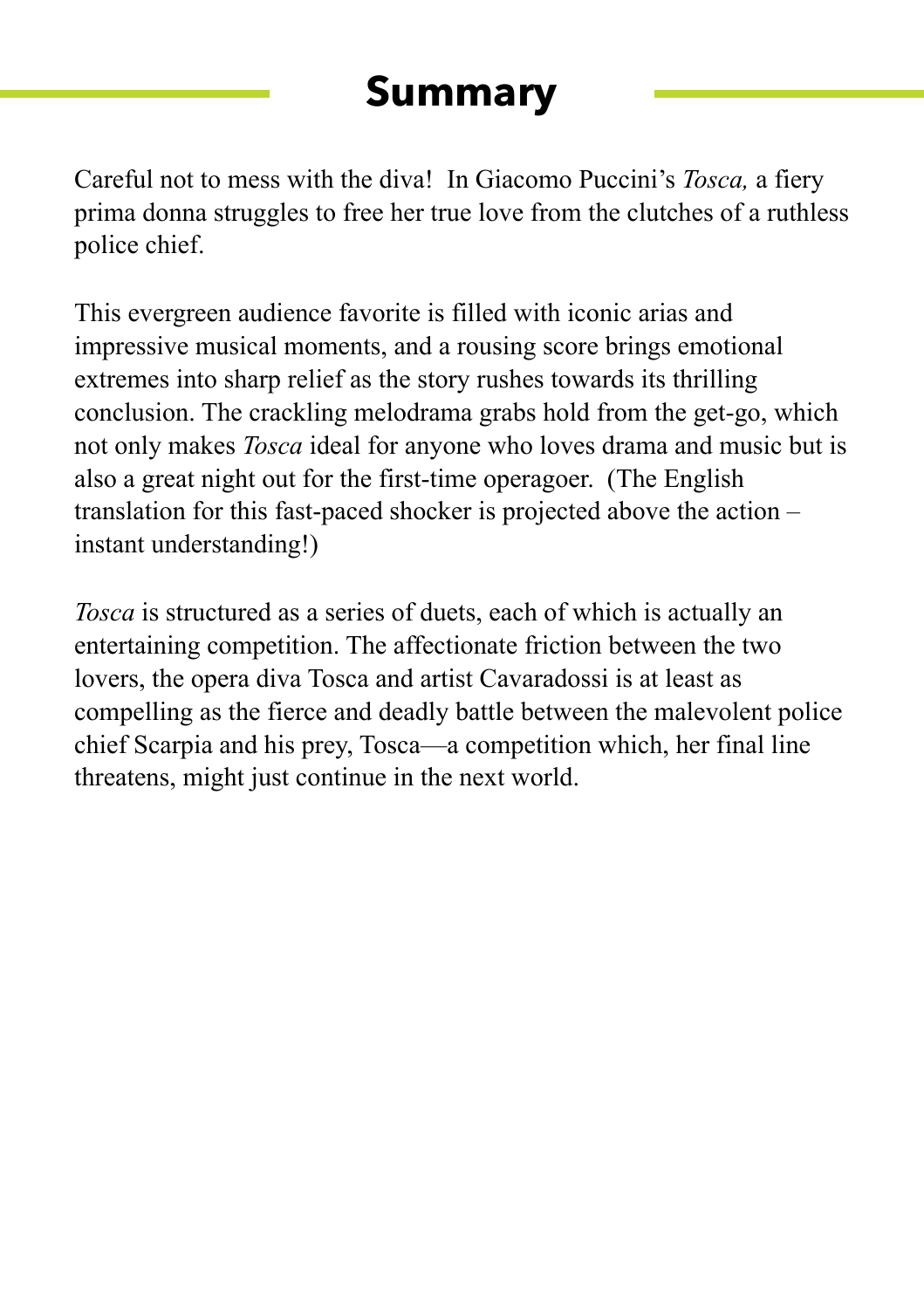### **Summary**

Careful not to mess with the diva! In Giacomo Puccini's *Tosca,* a fiery prima donna struggles to free her true love from the clutches of a ruthless police chief.

This evergreen audience favorite is filled with iconic arias and impressive musical moments, and a rousing score brings emotional extremes into sharp relief as the story rushes towards its thrilling conclusion. The crackling melodrama grabs hold from the get-go, which not only makes *Tosca* ideal for anyone who loves drama and music but is also a great night out for the first-time operagoer. (The English translation for this fast-paced shocker is projected above the action – instant understanding!)

*Tosca* is structured as a series of duets, each of which is actually an entertaining competition. The affectionate friction between the two lovers, the opera diva Tosca and artist Cavaradossi is at least as compelling as the fierce and deadly battle between the malevolent police chief Scarpia and his prey, Tosca—a competition which, her final line threatens, might just continue in the next world.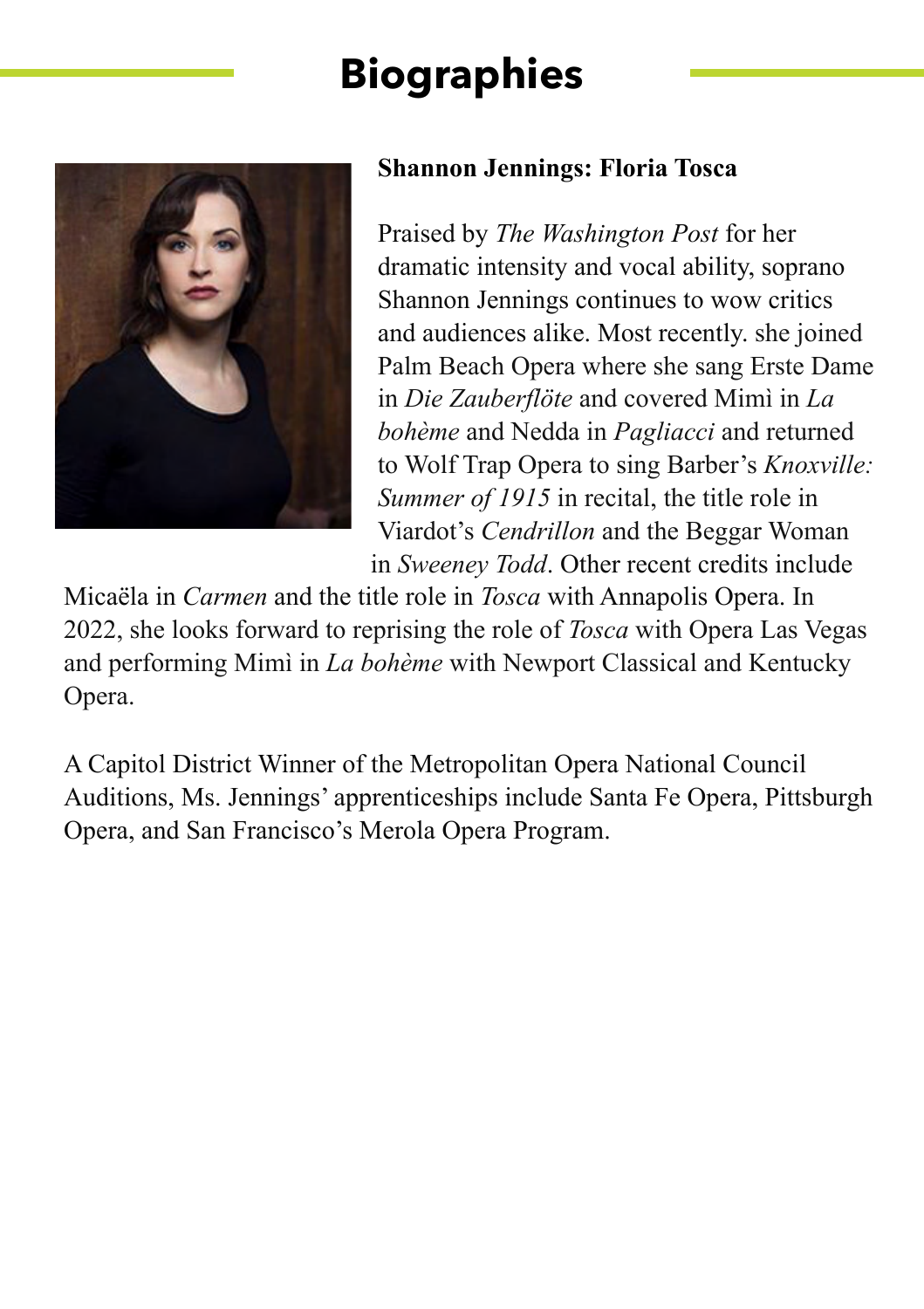

### **Shannon Jennings: Floria Tosca**

Praised by *The Washington Post* for her dramatic intensity and vocal ability, soprano Shannon Jennings continues to wow critics and audiences alike. Most recently. she joined Palm Beach Opera where she sang Erste Dame in *Die Zauberflöte* and covered Mimì in *La bohème* and Nedda in *Pagliacci* and returned to Wolf Trap Opera to sing Barber's *Knoxville: Summer of 1915* in recital, the title role in Viardot's *Cendrillon* and the Beggar Woman in *Sweeney Todd*. Other recent credits include

Micaëla in *Carmen* and the title role in *Tosca* with Annapolis Opera. In 2022, she looks forward to reprising the role of *Tosca* with Opera Las Vegas and performing Mimì in *La bohème* with Newport Classical and Kentucky Opera.

A Capitol District Winner of the Metropolitan Opera National Council Auditions, Ms. Jennings' apprenticeships include Santa Fe Opera, Pittsburgh Opera, and San Francisco's Merola Opera Program.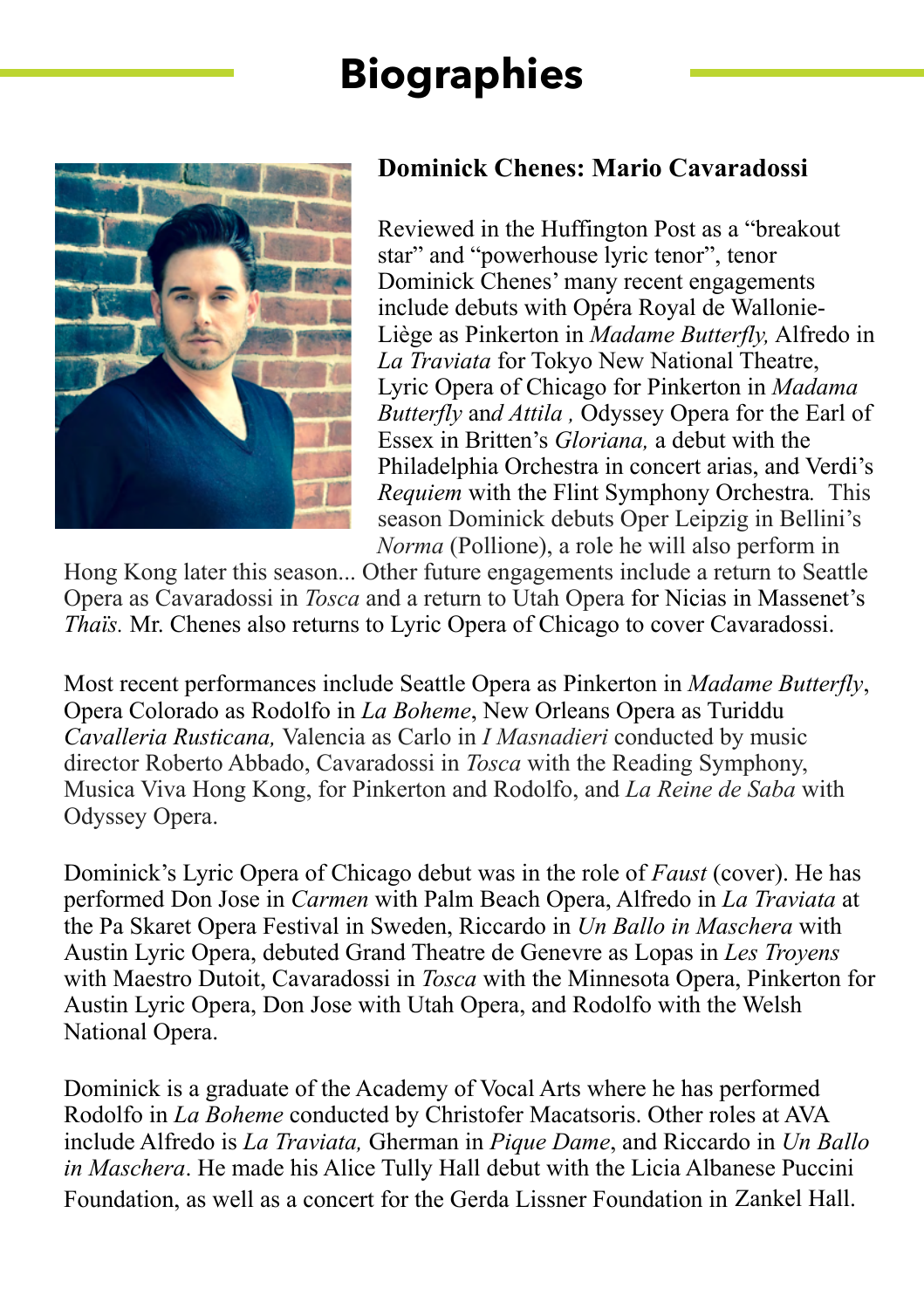

### **Dominick Chenes: Mario Cavaradossi**

Reviewed in the Huffington Post as a "breakout star" and "powerhouse lyric tenor", tenor Dominick Chenes' many recent engagements include debuts with Opéra Royal de Wallonie-Liège as Pinkerton in *Madame Butterfly,* Alfredo in *La Traviata* for Tokyo New National Theatre, Lyric Opera of Chicago for Pinkerton in *Madama Butterfly* an*d Attila ,* Odyssey Opera for the Earl of Essex in Britten's *Gloriana,* a debut with the Philadelphia Orchestra in concert arias, and Verdi's *Requiem* with the Flint Symphony Orchestra*.* This season Dominick debuts Oper Leipzig in Bellini's *Norma* (Pollione), a role he will also perform in

Hong Kong later this season... Other future engagements include a return to Seattle Opera as Cavaradossi in *Tosca* and a return to Utah Opera for Nicias in Massenet's *Thaïs.* Mr. Chenes also returns to Lyric Opera of Chicago to cover Cavaradossi.

Most recent performances include Seattle Opera as Pinkerton in *Madame Butterfly*, Opera Colorado as Rodolfo in *La Boheme*, New Orleans Opera as Turiddu *Cavalleria Rusticana,* Valencia as Carlo in *I Masnadieri* conducted by music director Roberto Abbado, Cavaradossi in *Tosca* with the Reading Symphony, Musica Viva Hong Kong, for Pinkerton and Rodolfo, and *La Reine de Saba* with Odyssey Opera.

Dominick's Lyric Opera of Chicago debut was in the role of *Faust* (cover). He has performed Don Jose in *Carmen* with Palm Beach Opera, Alfredo in *La Traviata* at the Pa Skaret Opera Festival in Sweden, Riccardo in *Un Ballo in Maschera* with Austin Lyric Opera, debuted Grand Theatre de Genevre as Lopas in *Les Troyens* with Maestro Dutoit, Cavaradossi in *Tosca* with the Minnesota Opera, Pinkerton for Austin Lyric Opera, Don Jose with Utah Opera, and Rodolfo with the Welsh National Opera.

Dominick is a graduate of the Academy of Vocal Arts where he has performed Rodolfo in *La Boheme* conducted by Christofer Macatsoris. Other roles at AVA include Alfredo is *La Traviata,* Gherman in *Pique Dame*, and Riccardo in *Un Ballo in Maschera*. He made his Alice Tully Hall debut with the Licia Albanese Puccini Foundation, as well as a concert for the Gerda Lissner Foundation in Zankel Hall.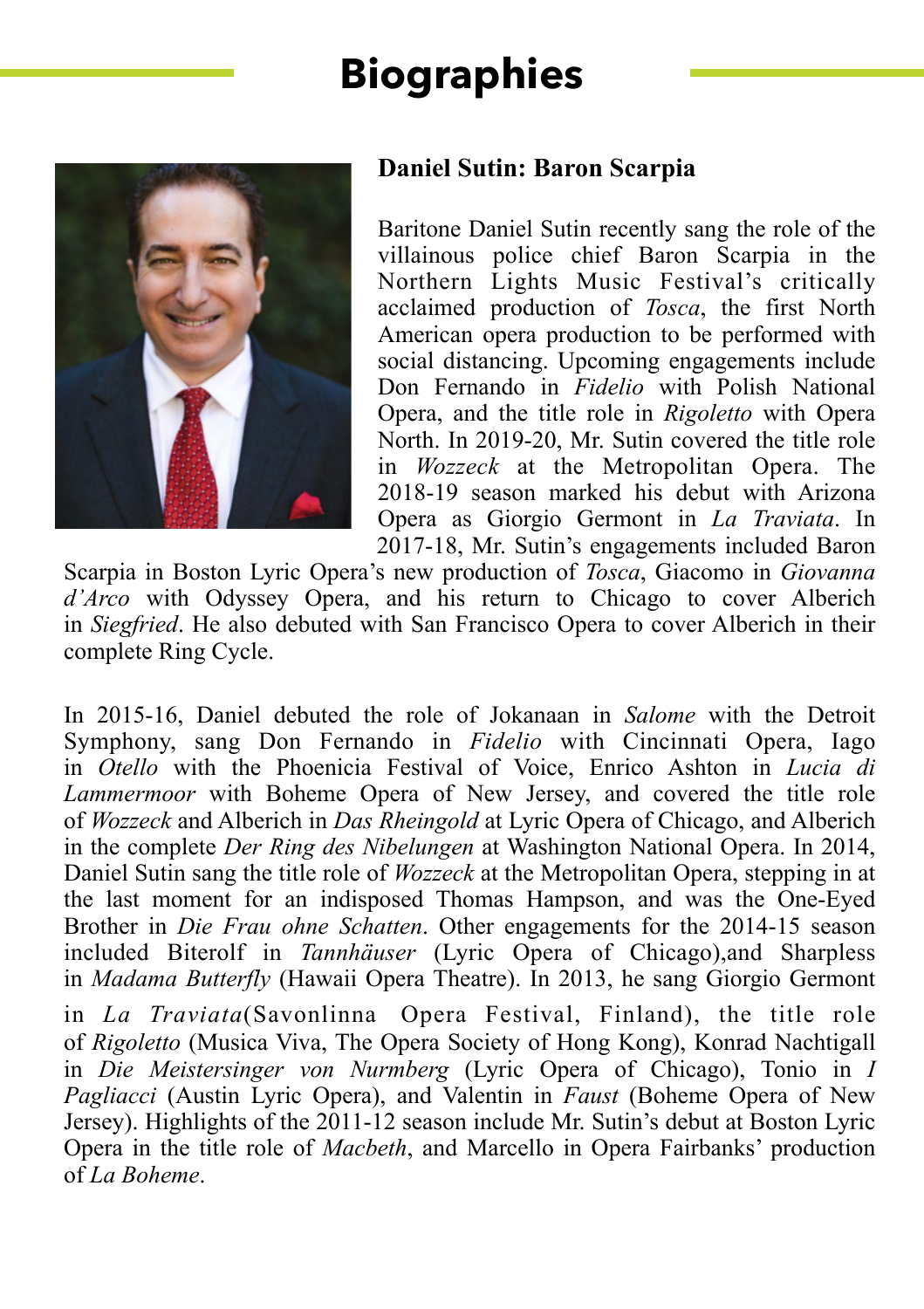

### **Daniel Sutin: Baron Scarpia**

Baritone Daniel Sutin recently sang the role of the villainous police chief Baron Scarpia in the Northern Lights Music Festival's critically acclaimed production of *Tosca*, the first North American opera production to be performed with social distancing. Upcoming engagements include Don Fernando in *Fidelio* with Polish National Opera, and the title role in *Rigoletto* with Opera North. In 2019-20, Mr. Sutin covered the title role in *Wozzeck* at the Metropolitan Opera. The 2018-19 season marked his debut with Arizona Opera as Giorgio Germont in *La Traviata*. In 2017-18, Mr. Sutin's engagements included Baron

Scarpia in Boston Lyric Opera's new production of *Tosca*, Giacomo in *Giovanna d'Arco* with Odyssey Opera, and his return to Chicago to cover Alberich in *Siegfried*. He also debuted with San Francisco Opera to cover Alberich in their complete Ring Cycle.

In 2015-16, Daniel debuted the role of Jokanaan in *Salome* with the Detroit Symphony, sang Don Fernando in *Fidelio* with Cincinnati Opera, Iago in *Otello* with the Phoenicia Festival of Voice, Enrico Ashton in *Lucia di Lammermoor* with Boheme Opera of New Jersey, and covered the title role of *Wozzeck* and Alberich in *Das Rheingold* at Lyric Opera of Chicago, and Alberich in the complete *Der Ring des Nibelungen* at Washington National Opera. In 2014, Daniel Sutin sang the title role of *Wozzeck* at the Metropolitan Opera, stepping in at the last moment for an indisposed Thomas Hampson, and was the One-Eyed Brother in *Die Frau ohne Schatten*. Other engagements for the 2014-15 season included Biterolf in *Tannhäuser* (Lyric Opera of Chicago),and Sharpless in *Madama Butterfly* (Hawaii Opera Theatre). In 2013, he sang Giorgio Germont in *La Traviata*(Savonlinna Opera Festival, Finland), the title role of *Rigoletto* (Musica Viva, The Opera Society of Hong Kong), Konrad Nachtigall in *Die Meistersinger von Nurmberg* (Lyric Opera of Chicago), Tonio in *I Pagliacci* (Austin Lyric Opera), and Valentin in *Faust* (Boheme Opera of New Jersey). Highlights of the 2011-12 season include Mr. Sutin's debut at Boston Lyric Opera in the title role of *Macbeth*, and Marcello in Opera Fairbanks' production of *La Boheme*.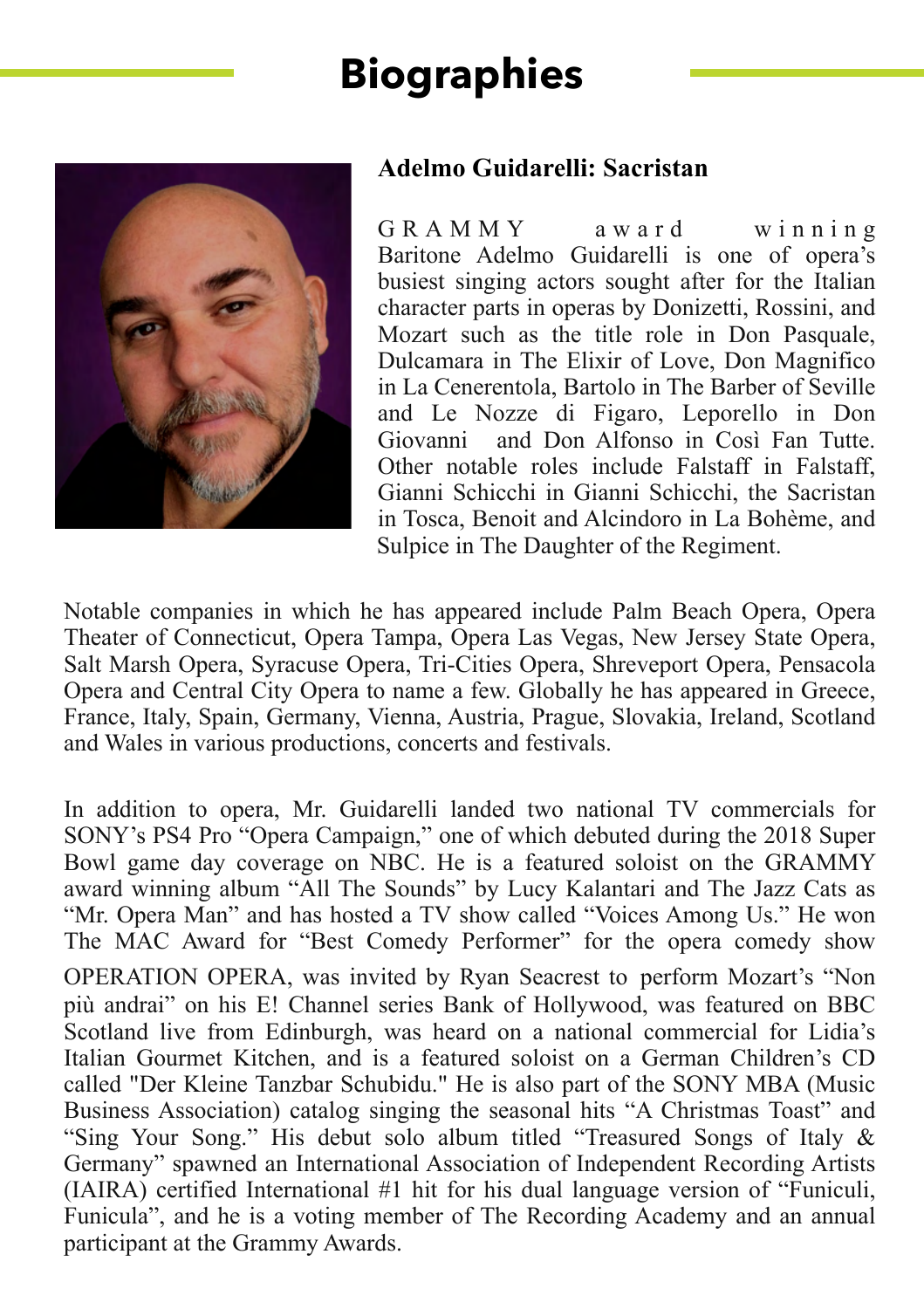

### **Adelmo Guidarelli: Sacristan**

G R A M M Y award winning Baritone Adelmo Guidarelli is one of opera's busiest singing actors sought after for the Italian character parts in operas by Donizetti, Rossini, and Mozart such as the title role in Don Pasquale, Dulcamara in The Elixir of Love, Don Magnifico in La Cenerentola, Bartolo in The Barber of Seville and Le Nozze di Figaro, Leporello in Don Giovanni and Don Alfonso in Così Fan Tutte. Other notable roles include Falstaff in Falstaff Gianni Schicchi in Gianni Schicchi, the Sacristan in Tosca, Benoit and Alcindoro in La Bohème, and Sulpice in The Daughter of the Regiment.

Notable companies in which he has appeared include Palm Beach Opera, Opera Theater of Connecticut, Opera Tampa, Opera Las Vegas, New Jersey State Opera, Salt Marsh Opera, Syracuse Opera, Tri-Cities Opera, Shreveport Opera, Pensacola Opera and Central City Opera to name a few. Globally he has appeared in Greece, France, Italy, Spain, Germany, Vienna, Austria, Prague, Slovakia, Ireland, Scotland and Wales in various productions, concerts and festivals.

In addition to opera, Mr. Guidarelli landed two national TV commercials for SONY's PS4 Pro "Opera Campaign," one of which debuted during the 2018 Super Bowl game day coverage on NBC. He is a featured soloist on the GRAMMY award winning album "All The Sounds" by Lucy Kalantari and The Jazz Cats as "Mr. Opera Man" and has hosted a TV show called "Voices Among Us." He won The MAC Award for "Best Comedy Performer" for the opera comedy show OPERATION OPERA, was invited by Ryan Seacrest to perform Mozart's "Non più andrai" on his E! Channel series Bank of Hollywood, was featured on BBC Scotland live from Edinburgh, was heard on a national commercial for Lidia's Italian Gourmet Kitchen, and is a featured soloist on a German Children's CD called "Der Kleine Tanzbar Schubidu." He is also part of the SONY MBA (Music Business Association) catalog singing the seasonal hits "A Christmas Toast" and "Sing Your Song." His debut solo album titled "Treasured Songs of Italy & Germany" spawned an International Association of Independent Recording Artists (IAIRA) certified International #1 hit for his dual language version of "Funiculi, Funicula", and he is a voting member of The Recording Academy and an annual participant at the Grammy Awards.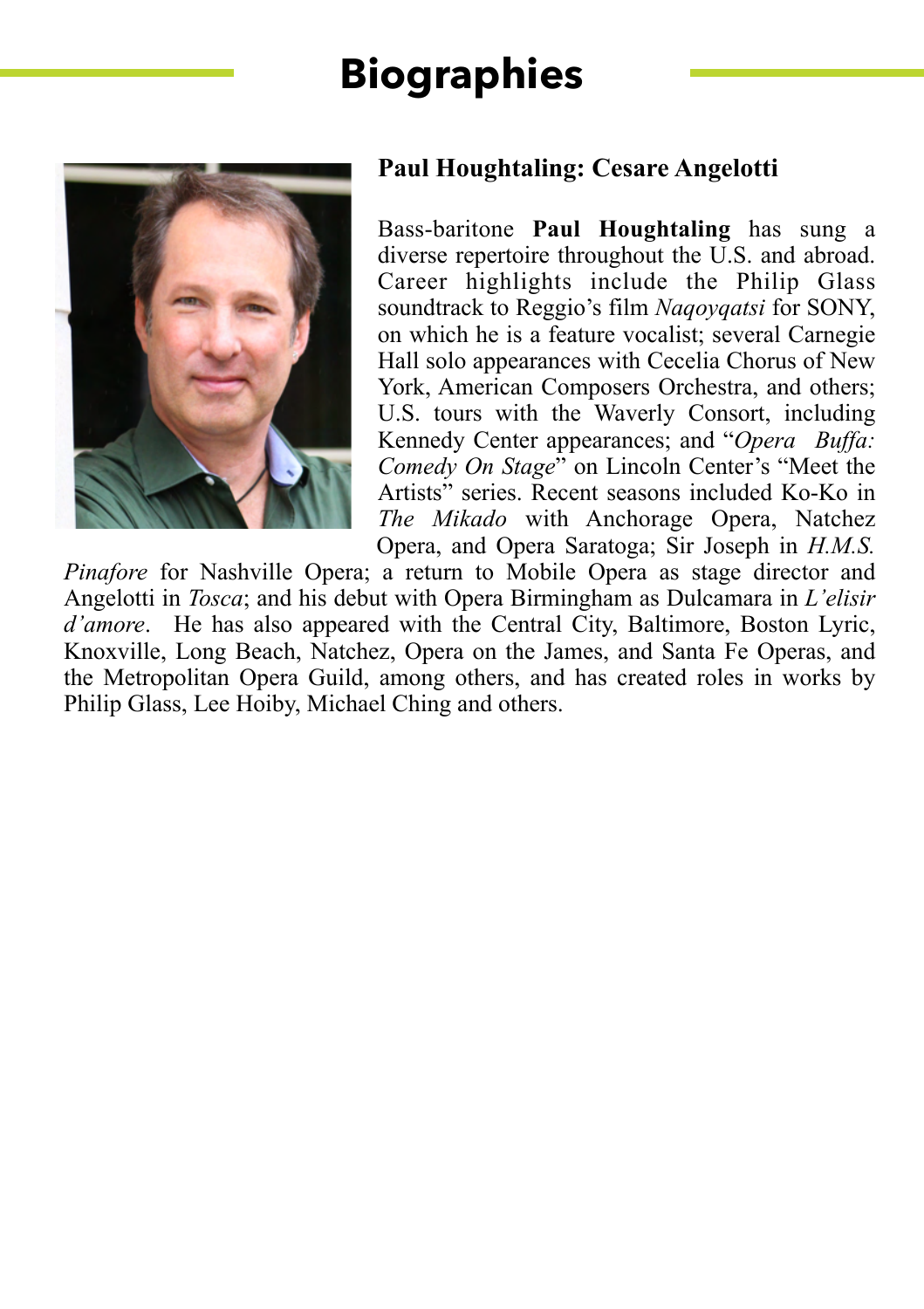

### **Paul Houghtaling: Cesare Angelotti**

Bass-baritone **Paul Houghtaling** has sung a diverse repertoire throughout the U.S. and abroad. Career highlights include the Philip Glass soundtrack to Reggio's film *Naqoyqatsi* for SONY, on which he is a feature vocalist; several Carnegie Hall solo appearances with Cecelia Chorus of New York, American Composers Orchestra, and others; U.S. tours with the Waverly Consort, including Kennedy Center appearances; and "*Opera Buffa: Comedy On Stage*" on Lincoln Center's "Meet the Artists" series. Recent seasons included Ko-Ko in *The Mikado* with Anchorage Opera, Natchez Opera, and Opera Saratoga; Sir Joseph in *H.M.S.* 

*Pinafore* for Nashville Opera; a return to Mobile Opera as stage director and Angelotti in *Tosca*; and his debut with Opera Birmingham as Dulcamara in *L'elisir d'amore*. He has also appeared with the Central City, Baltimore, Boston Lyric, Knoxville, Long Beach, Natchez, Opera on the James, and Santa Fe Operas, and the Metropolitan Opera Guild, among others, and has created roles in works by Philip Glass, Lee Hoiby, Michael Ching and others.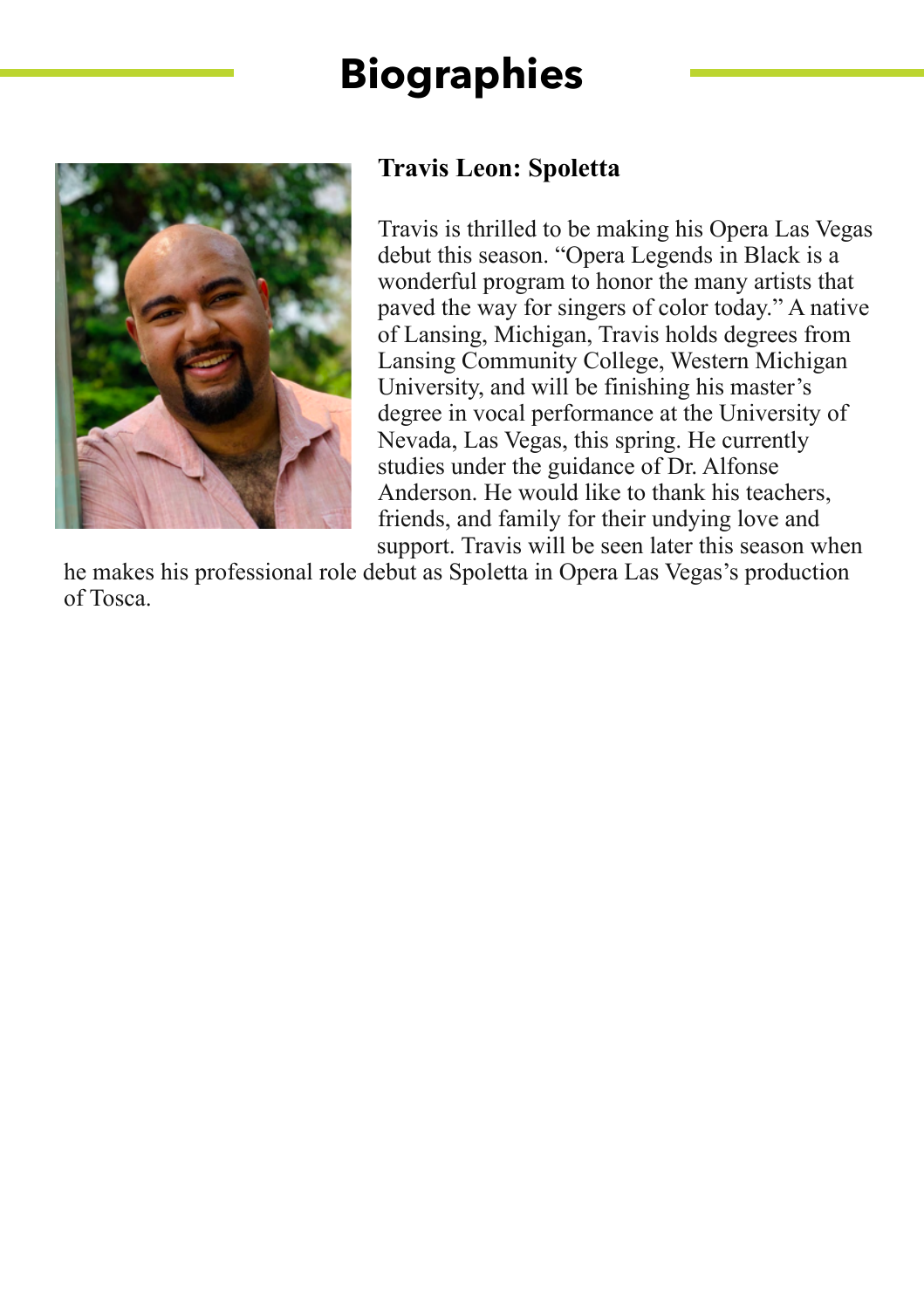

### **Travis Leon: Spoletta**

Travis is thrilled to be making his Opera Las Vegas debut this season. "Opera Legends in Black is a wonderful program to honor the many artists that paved the way for singers of color today." A native of Lansing, Michigan, Travis holds degrees from Lansing Community College, Western Michigan University, and will be finishing his master's degree in vocal performance at the University of Nevada, Las Vegas, this spring. He currently studies under the guidance of Dr. Alfonse Anderson. He would like to thank his teachers, friends, and family for their undying love and support. Travis will be seen later this season when

he makes his professional role debut as Spoletta in Opera Las Vegas's production of Tosca.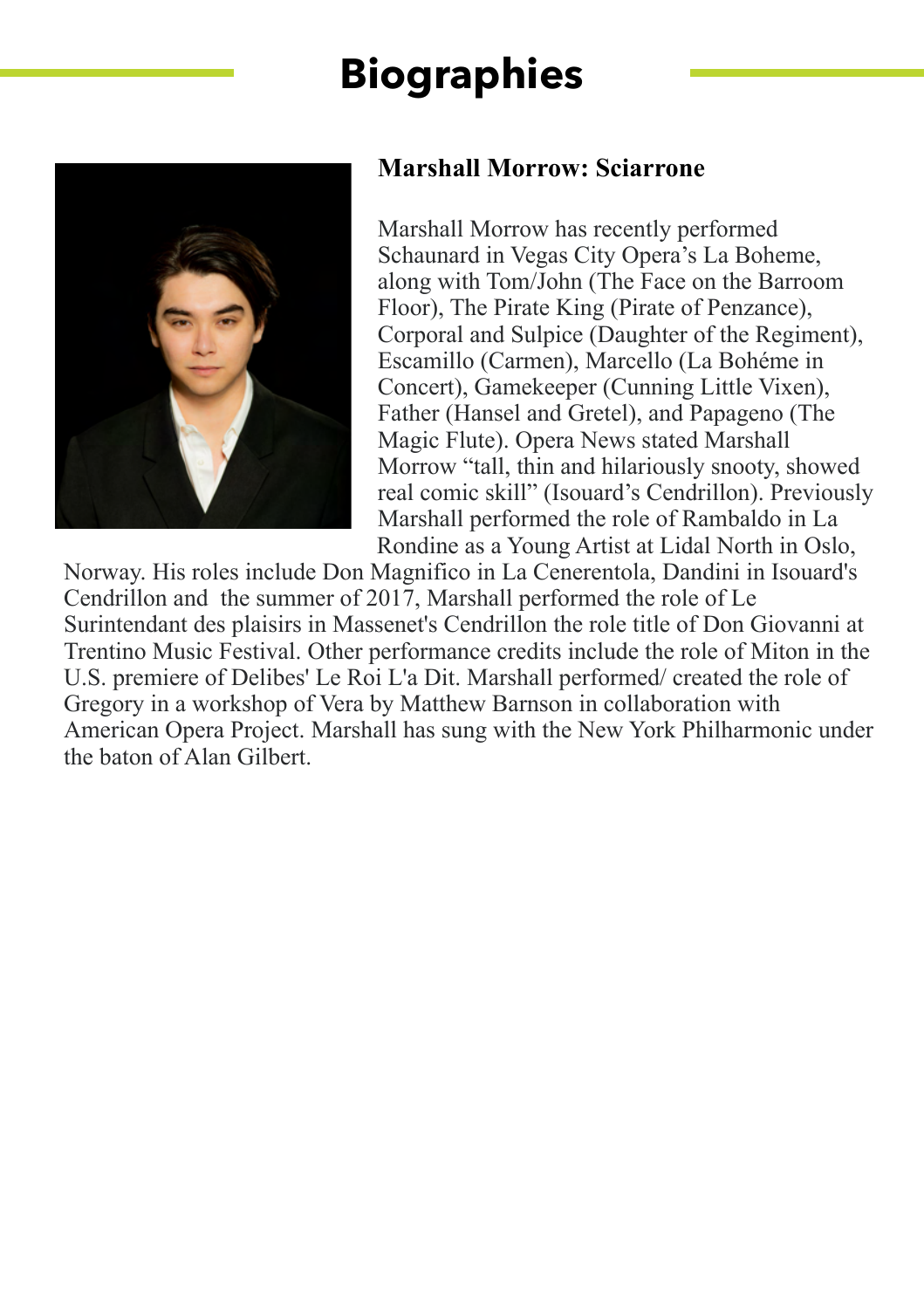

### **Marshall Morrow: Sciarrone**

Marshall Morrow has recently performed Schaunard in Vegas City Opera's La Boheme, along with Tom/John (The Face on the Barroom Floor), The Pirate King (Pirate of Penzance), Corporal and Sulpice (Daughter of the Regiment), Escamillo (Carmen), Marcello (La Bohéme in Concert), Gamekeeper (Cunning Little Vixen), Father (Hansel and Gretel), and Papageno (The Magic Flute). Opera News stated Marshall Morrow "tall, thin and hilariously snooty, showed real comic skill" (Isouard's Cendrillon). Previously Marshall performed the role of Rambaldo in La Rondine as a Young Artist at Lidal North in Oslo,

Norway. His roles include Don Magnifico in La Cenerentola, Dandini in Isouard's Cendrillon and the summer of 2017, Marshall performed the role of Le Surintendant des plaisirs in Massenet's Cendrillon the role title of Don Giovanni at Trentino Music Festival. Other performance credits include the role of Miton in the U.S. premiere of Delibes' Le Roi L'a Dit. Marshall performed/ created the role of Gregory in a workshop of Vera by Matthew Barnson in collaboration with American Opera Project. Marshall has sung with the New York Philharmonic under the baton of Alan Gilbert.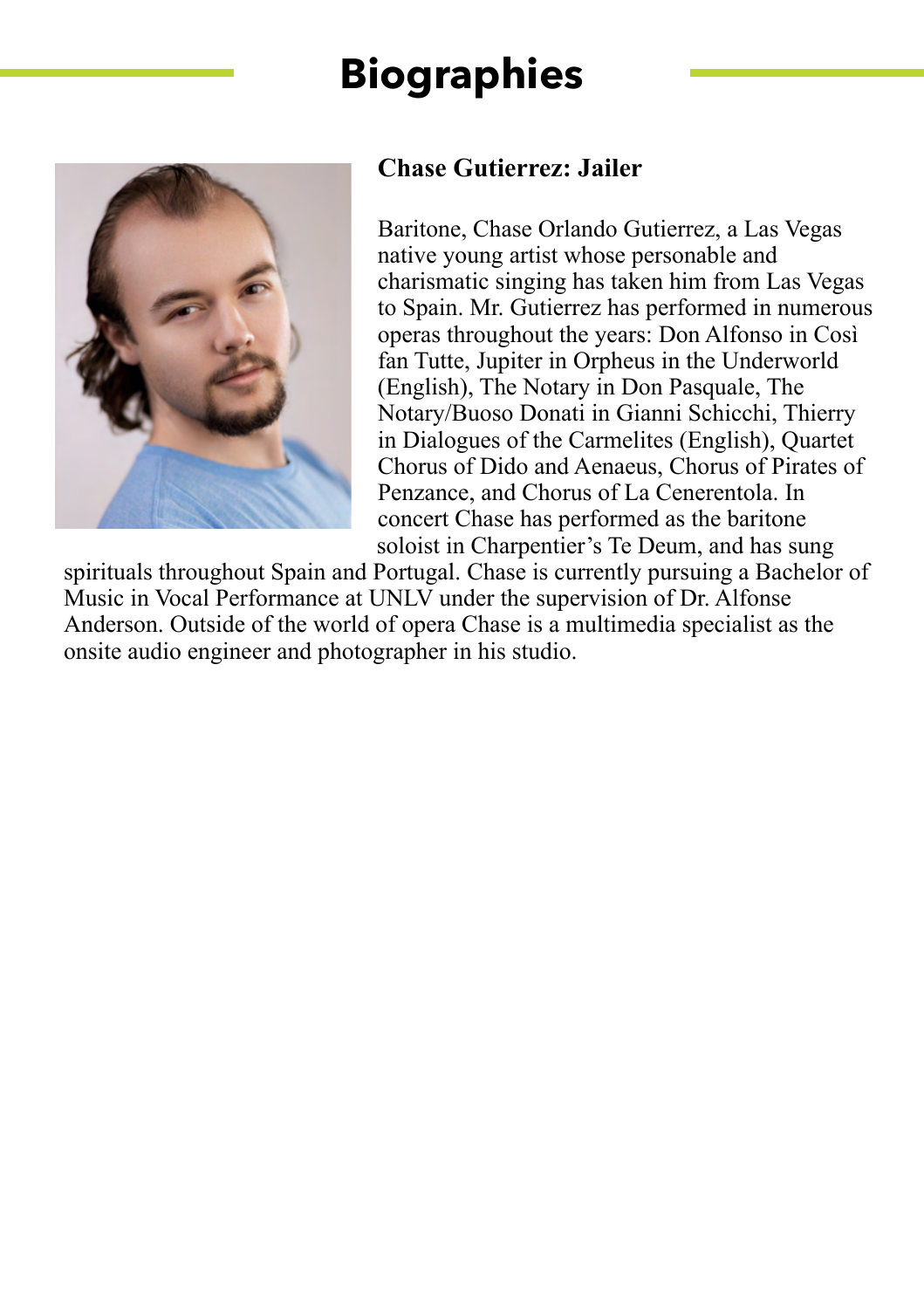

### **Chase Gutierrez: Jailer**

Baritone, Chase Orlando Gutierrez, a Las Vegas native young artist whose personable and charismatic singing has taken him from Las Vegas to Spain. Mr. Gutierrez has performed in numerous operas throughout the years: Don Alfonso in Così fan Tutte, Jupiter in Orpheus in the Underworld (English), The Notary in Don Pasquale, The Notary/Buoso Donati in Gianni Schicchi, Thierry in Dialogues of the Carmelites (English), Quartet Chorus of Dido and Aenaeus, Chorus of Pirates of Penzance, and Chorus of La Cenerentola. In concert Chase has performed as the baritone soloist in Charpentier's Te Deum, and has sung

spirituals throughout Spain and Portugal. Chase is currently pursuing a Bachelor of Music in Vocal Performance at UNLV under the supervision of Dr. Alfonse Anderson. Outside of the world of opera Chase is a multimedia specialist as the onsite audio engineer and photographer in his studio.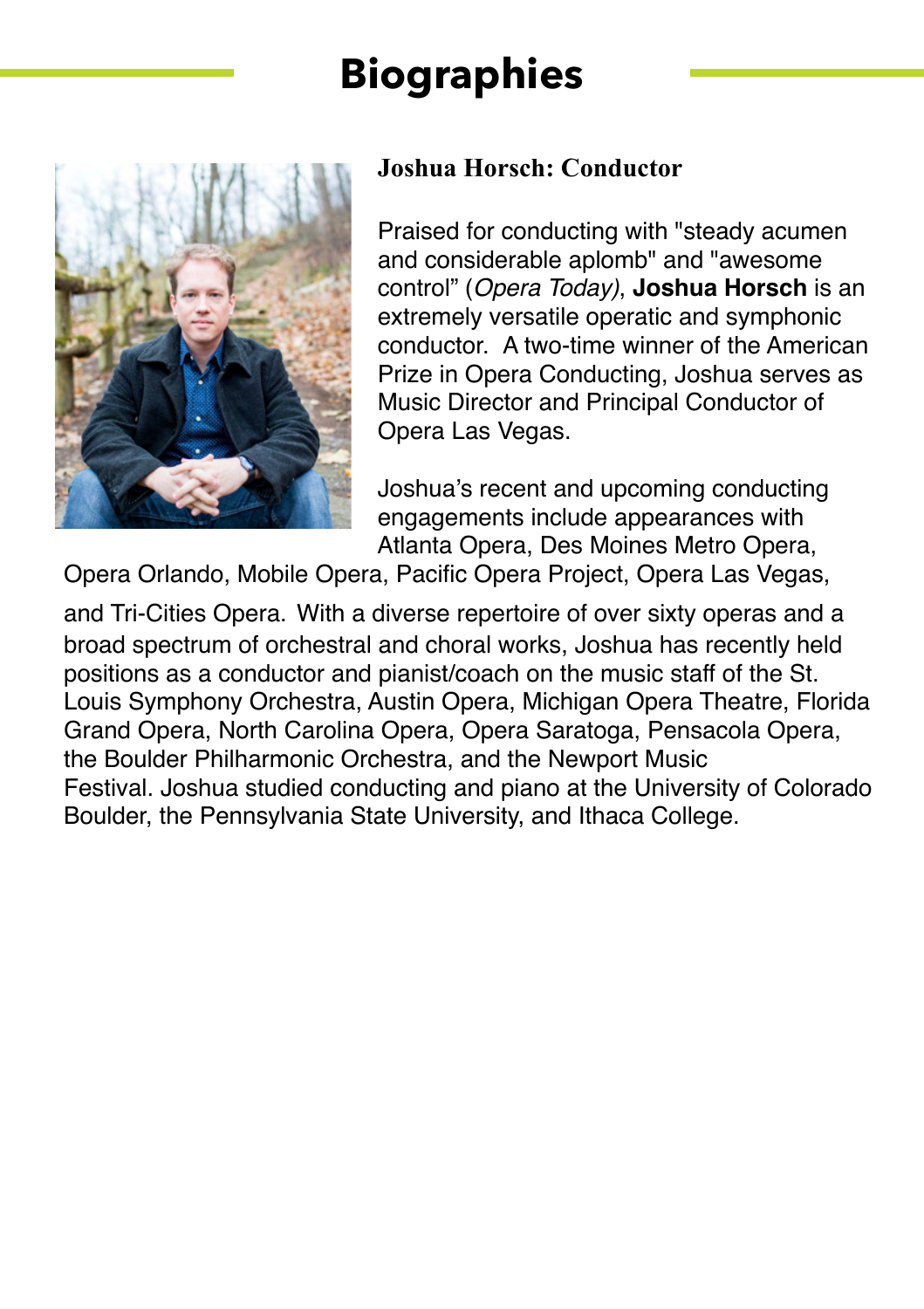

### **Joshua Horsch: Conductor**

Praised for conducting with "steady acumen and considerable aplomb" and "awesome control" (*Opera Today)*, **Joshua Horsch** is an extremely versatile operatic and symphonic conductor. A two-time winner of the American Prize in Opera Conducting, Joshua serves as Music Director and Principal Conductor of Opera Las Vegas.

Joshua's recent and upcoming conducting engagements include appearances with Atlanta Opera, Des Moines Metro Opera,

Opera Orlando, Mobile Opera, Pacific Opera Project, Opera Las Vegas,

and Tri-Cities Opera. With a diverse repertoire of over sixty operas and a broad spectrum of orchestral and choral works, Joshua has recently held positions as a conductor and pianist/coach on the music staff of the St. Louis Symphony Orchestra, Austin Opera, Michigan Opera Theatre, Florida Grand Opera, North Carolina Opera, Opera Saratoga, Pensacola Opera, the Boulder Philharmonic Orchestra, and the Newport Music Festival. Joshua studied conducting and piano at the University of Colorado Boulder, the Pennsylvania State University, and Ithaca College.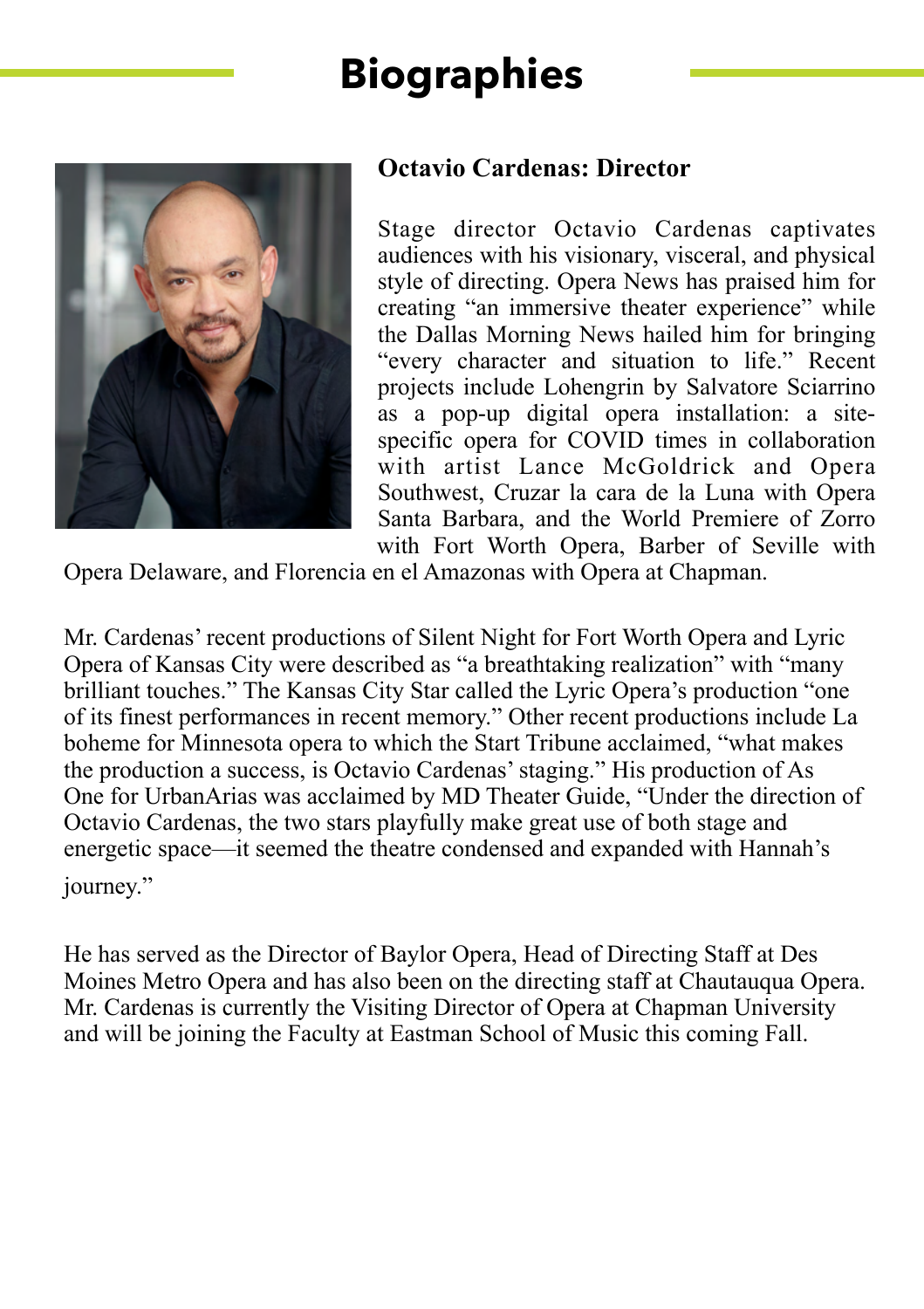

### **Octavio Cardenas: Director**

Stage director Octavio Cardenas captivates audiences with his visionary, visceral, and physical style of directing. Opera News has praised him for creating "an immersive theater experience" while the Dallas Morning News hailed him for bringing "every character and situation to life." Recent projects include Lohengrin by Salvatore Sciarrino as a pop-up digital opera installation: a sitespecific opera for COVID times in collaboration with artist Lance McGoldrick and Opera Southwest, Cruzar la cara de la Luna with Opera Santa Barbara, and the World Premiere of Zorro with Fort Worth Opera, Barber of Seville with

Opera Delaware, and Florencia en el Amazonas with Opera at Chapman.

Mr. Cardenas' recent productions of Silent Night for Fort Worth Opera and Lyric Opera of Kansas City were described as "a breathtaking realization" with "many brilliant touches." The Kansas City Star called the Lyric Opera's production "one of its finest performances in recent memory." Other recent productions include La boheme for Minnesota opera to which the Start Tribune acclaimed, "what makes the production a success, is Octavio Cardenas' staging." His production of As One for UrbanArias was acclaimed by MD Theater Guide, "Under the direction of Octavio Cardenas, the two stars playfully make great use of both stage and energetic space—it seemed the theatre condensed and expanded with Hannah's journey."

He has served as the Director of Baylor Opera, Head of Directing Staff at Des Moines Metro Opera and has also been on the directing staff at Chautauqua Opera. Mr. Cardenas is currently the Visiting Director of Opera at Chapman University and will be joining the Faculty at Eastman School of Music this coming Fall.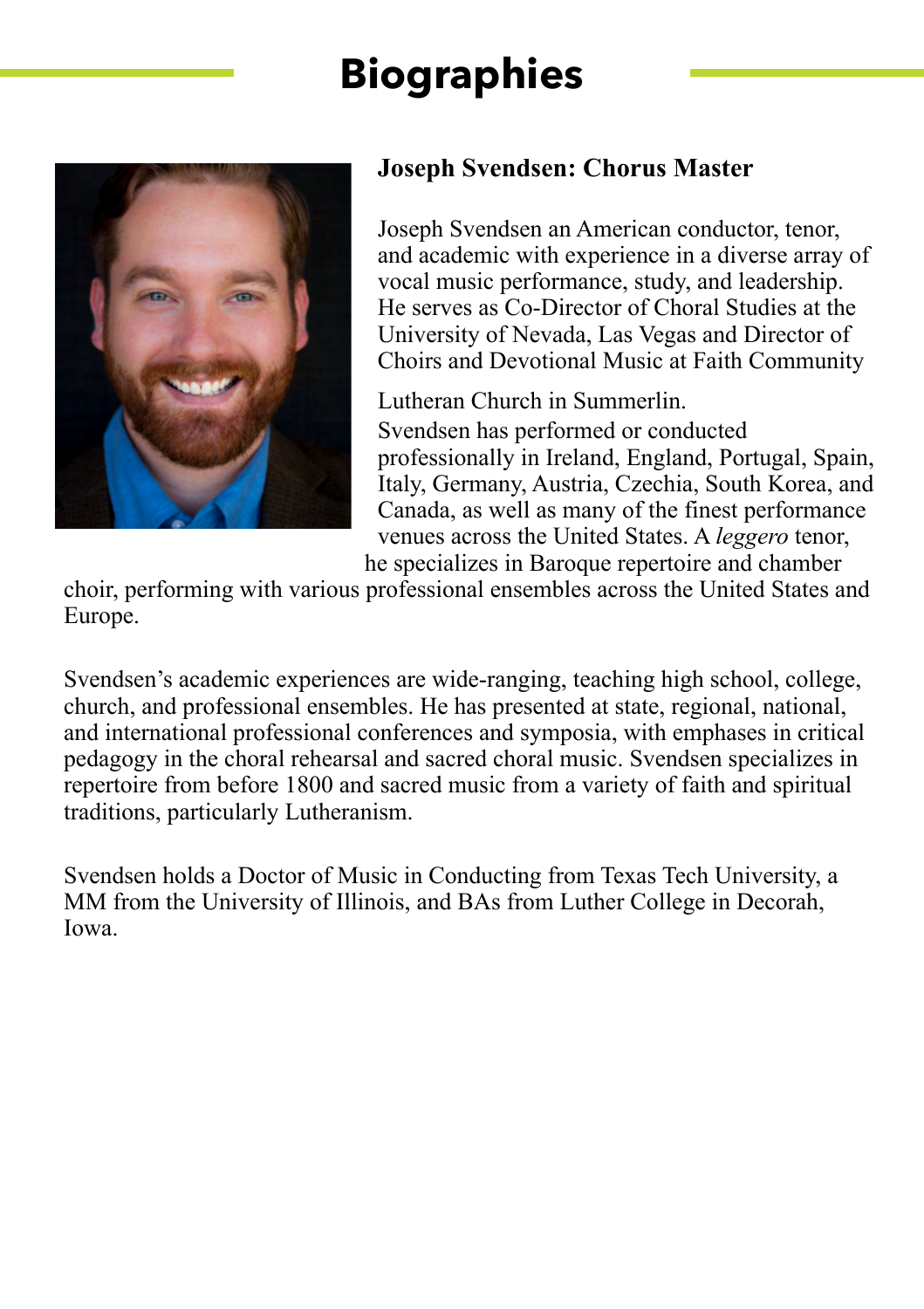

### **Joseph Svendsen: Chorus Master**

Joseph Svendsen an American conductor, tenor, and academic with experience in a diverse array of vocal music performance, study, and leadership. He serves as Co-Director of Choral Studies at the University of Nevada, Las Vegas and Director of Choirs and Devotional Music at Faith Community

Lutheran Church in Summerlin. Svendsen has performed or conducted professionally in Ireland, England, Portugal, Spain, Italy, Germany, Austria, Czechia, South Korea, and Canada, as well as many of the finest performance venues across the United States. A *leggero* tenor, he specializes in Baroque repertoire and chamber

choir, performing with various professional ensembles across the United States and Europe.

Svendsen's academic experiences are wide-ranging, teaching high school, college, church, and professional ensembles. He has presented at state, regional, national, and international professional conferences and symposia, with emphases in critical pedagogy in the choral rehearsal and sacred choral music. Svendsen specializes in repertoire from before 1800 and sacred music from a variety of faith and spiritual traditions, particularly Lutheranism.

Svendsen holds a Doctor of Music in Conducting from Texas Tech University, a MM from the University of Illinois, and BAs from Luther College in Decorah, Iowa.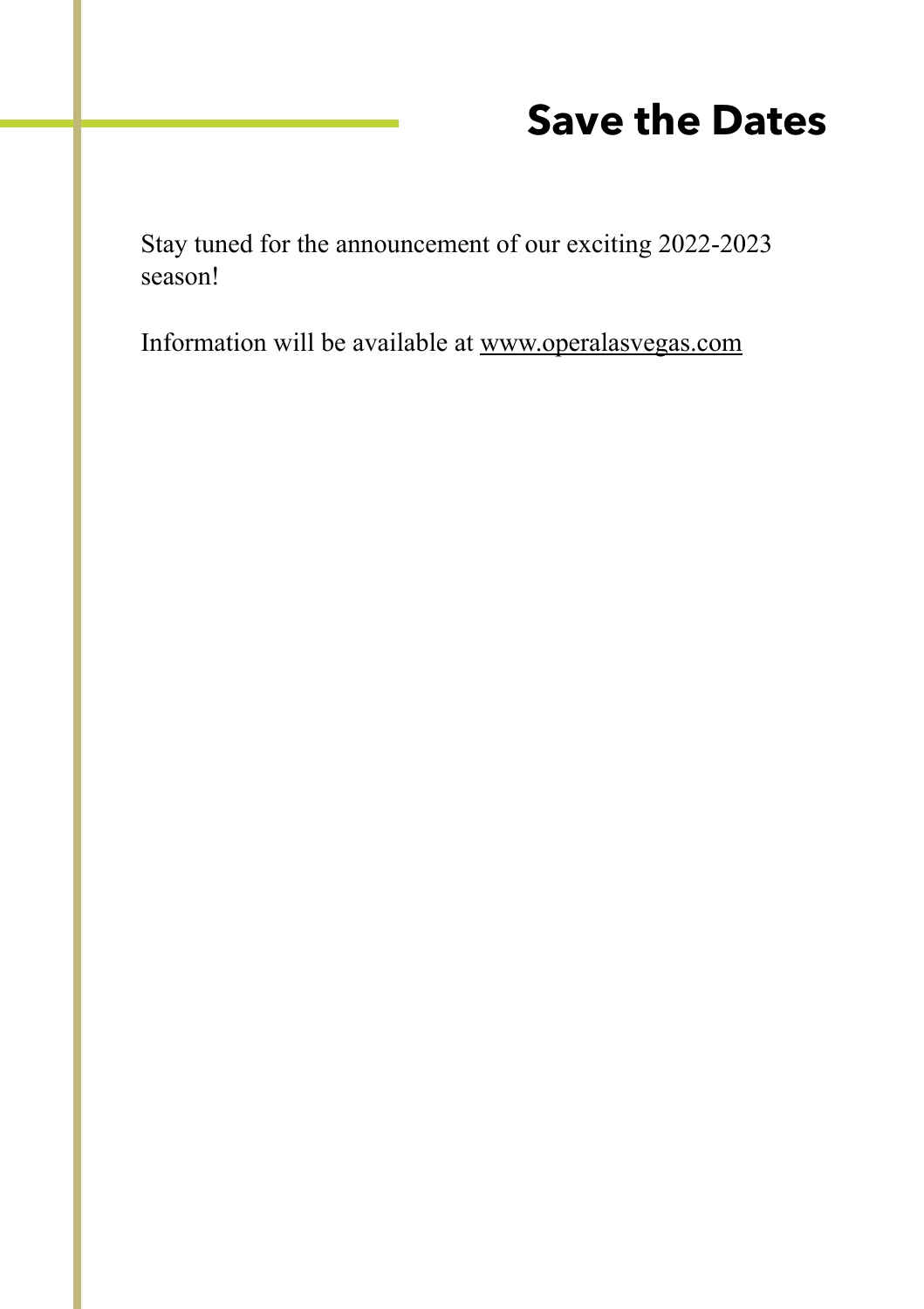# **Save the Dates**

Stay tuned for the announcement of our exciting 2022-2023 season!

Information will be available at [www.operalasvegas.com](http://www.operalasvegas.com)